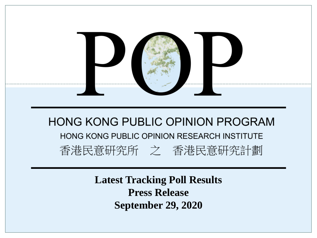

**Latest Tracking Poll Results Press Release September 29, 2020**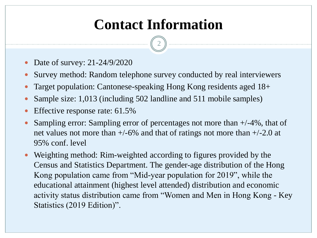## **Contact Information**

- Date of survey: 21-24/9/2020
- Survey method: Random telephone survey conducted by real interviewers
- Target population: Cantonese-speaking Hong Kong residents aged 18+
- Sample size: 1,013 (including 502 landline and 511 mobile samples)
- Effective response rate: 61.5%
- Sampling error: Sampling error of percentages not more than +/-4%, that of net values not more than  $+/-6\%$  and that of ratings not more than  $+/-2.0$  at 95% conf. level
- Weighting method: Rim-weighted according to figures provided by the Census and Statistics Department. The gender-age distribution of the Hong Kong population came from "Mid-year population for 2019", while the educational attainment (highest level attended) distribution and economic activity status distribution came from "Women and Men in Hong Kong - Key Statistics (2019 Edition)".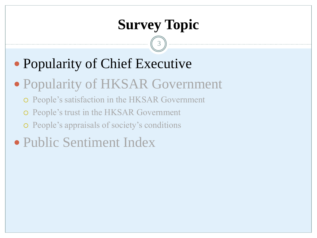## **Survey Topic**

- Popularity of Chief Executive
- Popularity of HKSAR Government
	- People's satisfaction in the HKSAR Government
	- People's trust in the HKSAR Government
	- People's appraisals of society's conditions
- Public Sentiment Index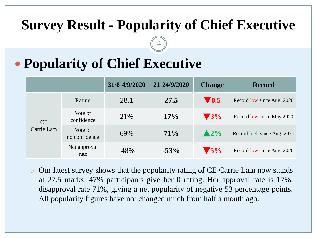### **Survey Result - Popularity of Chief Executive**

4

# **Popularity of Chief Executive**

|                         |                          | 31/8-4/9/2020 | 21-24/9/2020 | <b>Change</b>            | <b>Record</b>               |
|-------------------------|--------------------------|---------------|--------------|--------------------------|-----------------------------|
| <b>CE</b><br>Carrie Lam | Rating                   | 28.1          | 27.5         | $\blacktriangledown$ 0.5 | Record low since Aug. 2020  |
|                         | Vote of<br>confidence    | 21\%          | 17%          | $\blacktriangledown$ 3%  | Record low since May 2020   |
|                         | Vote of<br>no confidence | 69%           | $71\%$       | $\triangle 2\%$          | Record high since Aug. 2020 |
|                         | Net approval<br>rate     | $-48%$        | $-53%$       | $\blacktriangledown$ 5%  | Record low since Aug. 2020  |

 Our latest survey shows that the popularity rating of CE Carrie Lam now stands at 27.5 marks. 47% participants give her 0 rating. Her approval rate is 17%, disapproval rate 71%, giving a net popularity of negative 53 percentage points. All popularity figures have not changed much from half a month ago.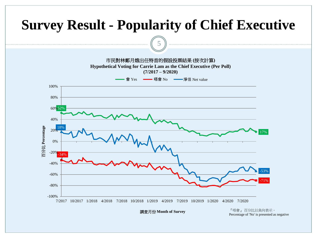

調查月份 **Month of Survey**

『唔會』 百分比以負向表示。 Percentage of 'No' is presented as negative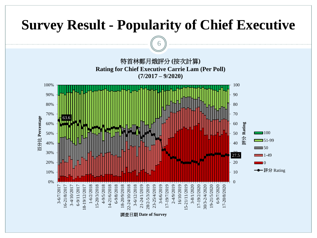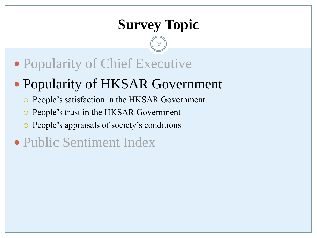## **Survey Topic**

- Popularity of Chief Executive
- Popularity of HKSAR Government
	- People's satisfaction in the HKSAR Government
	- People's trust in the HKSAR Government
	- People's appraisals of society's conditions
- Public Sentiment Index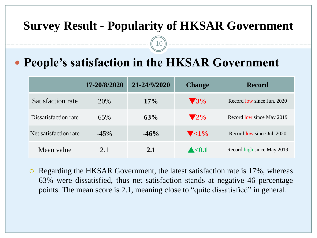#### **Survey Result - Popularity of HKSAR Government**

10

### **People's satisfaction in the HKSAR Government**

|                       | 17-20/8/2020 | 21-24/9/2020 | <b>Change</b>            | <b>Record</b>              |
|-----------------------|--------------|--------------|--------------------------|----------------------------|
| Satisfaction rate     | 20%          | 17%          | $\blacktriangledown$ 3%  | Record low since Jun. 2020 |
| Dissatisfaction rate  | 65%          | 63%          | $\blacktriangledown 2\%$ | Record low since May 2019  |
| Net satisfaction rate | $-45%$       | $-46%$       | $\blacktriangledown$ <1% | Record low since Jul. 2020 |
| Mean value            | 2.1          | 2.1          | $\triangle$ < 0.1        | Record high since May 2019 |

 Regarding the HKSAR Government, the latest satisfaction rate is 17%, whereas 63% were dissatisfied, thus net satisfaction stands at negative 46 percentage points. The mean score is 2.1, meaning close to "quite dissatisfied" in general.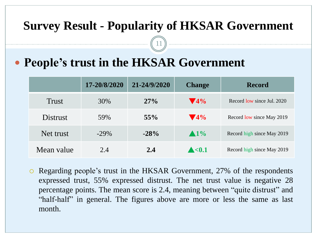#### **Survey Result - Popularity of HKSAR Government**

11

### **People's trust in the HKSAR Government**

|                 | 17-20/8/2020 | 21-24/9/2020 | <b>Change</b>           | <b>Record</b>              |
|-----------------|--------------|--------------|-------------------------|----------------------------|
| <b>Trust</b>    | 30%          | 27%          | $\blacktriangledown$ 4% | Record low since Jul. 2020 |
| <b>Distrust</b> | 59%          | 55%          | $\blacktriangledown$ 4% | Record low since May 2019  |
| Net trust       | $-29\%$      | $-28%$       | $\blacktriangle 1\%$    | Record high since May 2019 |
| Mean value      | 2.4          | 2.4          | $\blacktriangle < 0.1$  | Record high since May 2019 |

 Regarding people's trust in the HKSAR Government, 27% of the respondents expressed trust, 55% expressed distrust. The net trust value is negative 28 percentage points. The mean score is 2.4, meaning between "quite distrust" and "half-half" in general. The figures above are more or less the same as last month.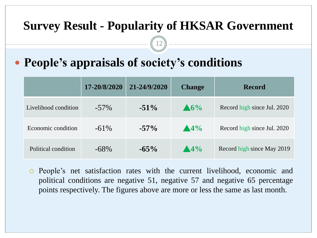#### **Survey Result - Popularity of HKSAR Government**

12

### **People's appraisals of society's conditions**

|                      | 17-20/8/2020 | 21-24/9/2020 | <b>Change</b>   | <b>Record</b>               |
|----------------------|--------------|--------------|-----------------|-----------------------------|
| Livelihood condition | $-57\%$      | $-51\%$      | $\triangle 6\%$ | Record high since Jul. 2020 |
| Economic condition   | $-61\%$      | $-57\%$      | $\triangle 4\%$ | Record high since Jul. 2020 |
| Political condition  | $-68\%$      | $-65\%$      | $\triangle 4\%$ | Record high since May 2019  |

 People's net satisfaction rates with the current livelihood, economic and political conditions are negative 51, negative 57 and negative 65 percentage points respectively. The figures above are more or less the same as last month.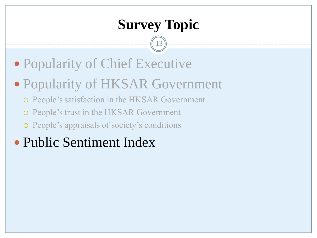## **Survey Topic**

- Popularity of Chief Executive
- Popularity of HKSAR Government
	- People's satisfaction in the HKSAR Government
	- People's trust in the HKSAR Government
	- People's appraisals of society's conditions
- Public Sentiment Index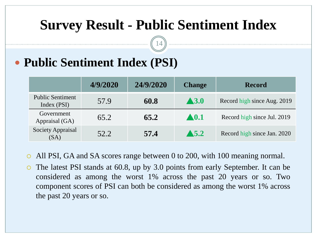### **Survey Result - Public Sentiment Index**

14

### **Public Sentiment Index (PSI)**

|                                        | 4/9/2020 | 24/9/2020 | <b>Change</b>        | <b>Record</b>               |
|----------------------------------------|----------|-----------|----------------------|-----------------------------|
| <b>Public Sentiment</b><br>Index (PSI) | 57.9     | 60.8      | $\blacktriangle$ 3.0 | Record high since Aug. 2019 |
| Government<br>Appraisal (GA)           | 65.2     | 65.2      | $\blacktriangle 0.1$ | Record high since Jul. 2019 |
| <b>Society Appraisal</b><br>(SA)       | 52.2     | 57.4      | $\blacktriangle$ 5.2 | Record high since Jan. 2020 |

- All PSI, GA and SA scores range between 0 to 200, with 100 meaning normal.
- The latest PSI stands at 60.8, up by 3.0 points from early September. It can be considered as among the worst 1% across the past 20 years or so. Two component scores of PSI can both be considered as among the worst 1% across the past 20 years or so.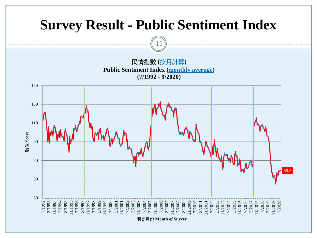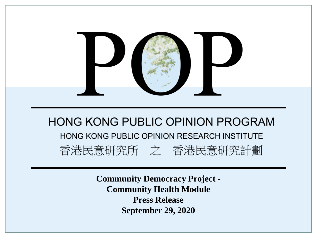

**Community Democracy Project - Community Health Module Press Release September 29, 2020**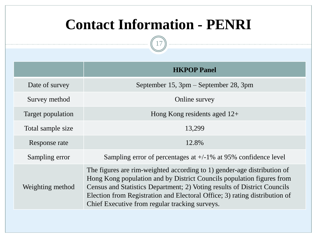## **Contact Information - PENRI**

|                   | <b>HKPOP Panel</b>                                                                                                                                                                                                                                                                                                                                           |
|-------------------|--------------------------------------------------------------------------------------------------------------------------------------------------------------------------------------------------------------------------------------------------------------------------------------------------------------------------------------------------------------|
| Date of survey    | September 15, 3pm – September 28, 3pm                                                                                                                                                                                                                                                                                                                        |
| Survey method     | Online survey                                                                                                                                                                                                                                                                                                                                                |
| Target population | Hong Kong residents aged $12+$                                                                                                                                                                                                                                                                                                                               |
| Total sample size | 13,299                                                                                                                                                                                                                                                                                                                                                       |
| Response rate     | 12.8%                                                                                                                                                                                                                                                                                                                                                        |
| Sampling error    | Sampling error of percentages at $+/-1\%$ at 95% confidence level                                                                                                                                                                                                                                                                                            |
| Weighting method  | The figures are rim-weighted according to 1) gender-age distribution of<br>Hong Kong population and by District Councils population figures from<br>Census and Statistics Department; 2) Voting results of District Councils<br>Election from Registration and Electoral Office; 3) rating distribution of<br>Chief Executive from regular tracking surveys. |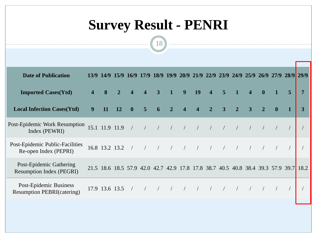# **Survey Result - PENRI**



| <b>Date of Publication</b>                                  |   | 13/9 14/9      |                |                         |                         |   |                                                                                                                                                                                                                                                                                                                                                                                                                                   |                         |                         |                                                |                |                |                         |                  | 15/9 16/9 17/9 18/9 19/9 20/9 21/9 22/9 23/9 24/9 25/9 26/9 27/9 28/9 29/9           |   |   |
|-------------------------------------------------------------|---|----------------|----------------|-------------------------|-------------------------|---|-----------------------------------------------------------------------------------------------------------------------------------------------------------------------------------------------------------------------------------------------------------------------------------------------------------------------------------------------------------------------------------------------------------------------------------|-------------------------|-------------------------|------------------------------------------------|----------------|----------------|-------------------------|------------------|--------------------------------------------------------------------------------------|---|---|
| <b>Imported Cases(Ytd)</b>                                  |   | 8              |                | $\overline{\mathbf{4}}$ | $\overline{\mathbf{4}}$ | 3 | $\mathbf{1}$                                                                                                                                                                                                                                                                                                                                                                                                                      | 9                       | 19                      | $\overline{\mathbf{4}}$                        | $\overline{5}$ |                | $\overline{\mathbf{4}}$ | $\boldsymbol{0}$ |                                                                                      | 5 | 7 |
| <b>Local Infection Cases(Ytd)</b>                           | 9 | 11             | <b>12</b>      | $\mathbf{0}$            | 5                       | 6 | $\overline{2}$                                                                                                                                                                                                                                                                                                                                                                                                                    | $\overline{\mathbf{4}}$ | $\overline{\mathbf{4}}$ | $\overline{2}$                                 | 3              | $\overline{2}$ | $\overline{3}$          | $\overline{2}$   | $\mathbf{0}$                                                                         |   | 3 |
| Post-Epidemic Work Resumption<br>Index (PEWRI)              |   |                | 15.1 11.9 11.9 | $\sqrt{2}$              |                         |   | $\frac{1}{\sqrt{1-\frac{1}{\sqrt{1-\frac{1}{\sqrt{1-\frac{1}{\sqrt{1-\frac{1}{\sqrt{1-\frac{1}{\sqrt{1-\frac{1}{\sqrt{1-\frac{1}{\sqrt{1-\frac{1}{\sqrt{1-\frac{1}{\sqrt{1-\frac{1}{\sqrt{1-\frac{1}{\sqrt{1-\frac{1}{\sqrt{1-\frac{1}{\sqrt{1-\frac{1}{\sqrt{1-\frac{1}{\sqrt{1-\frac{1}{\sqrt{1-\frac{1}{\sqrt{1-\frac{1}{\sqrt{1-\frac{1}{\sqrt{1-\frac{1}{\sqrt{1-\frac{1}{\sqrt{1-\frac{1}{\sqrt{1-\frac{1}{\sqrt{1-\frac{1$ |                         | $\sqrt{2}$              | $\frac{1}{2}$ $\frac{1}{2}$ $\frac{1}{2}$      |                |                | $\sqrt{2}$              | $\frac{1}{2}$    |                                                                                      |   |   |
| Post-Epidemic Public-Facilities<br>Re-open Index (PEPRI)    |   |                | 16.8 13.2 13.2 |                         |                         |   | $\begin{array}{cccc} \begin{array}{cccc} \end{array} & \begin{array}{cccc} \end{array} & \begin{array}{cccc} \end{array} & \begin{array}{cccc} \end{array} & \begin{array}{cccc} \end{array} \end{array}$                                                                                                                                                                                                                         |                         | $\sqrt{2}$              | $\frac{1}{2}$                                  |                |                | $\sqrt{2}$              |                  |                                                                                      |   |   |
| Post-Epidemic Gathering<br><b>Resumption Index (PEGRI)</b>  |   |                |                |                         |                         |   |                                                                                                                                                                                                                                                                                                                                                                                                                                   |                         |                         |                                                |                |                |                         |                  | 21.5 18.6 18.5 57.9 42.0 42.7 42.9 17.8 17.8 38.7 40.5 40.8 38.4 39.3 57.9 39.7 18.2 |   |   |
| Post-Epidemic Business<br><b>Resumption PEBRI(catering)</b> |   | 17.9 13.6 13.5 |                |                         |                         |   | $\begin{array}{cccc} \begin{array}{cccc} \end{array} & \begin{array}{cccc} \end{array} & \begin{array}{cccc} \end{array} & \begin{array}{cccc} \end{array} \end{array}$                                                                                                                                                                                                                                                           |                         | $\sqrt{2}$              | $\left( \begin{array}{cc} \end{array} \right)$ |                |                | $\sqrt{2}$              |                  |                                                                                      |   |   |
|                                                             |   |                |                |                         |                         |   |                                                                                                                                                                                                                                                                                                                                                                                                                                   |                         |                         |                                                |                |                |                         |                  |                                                                                      |   |   |